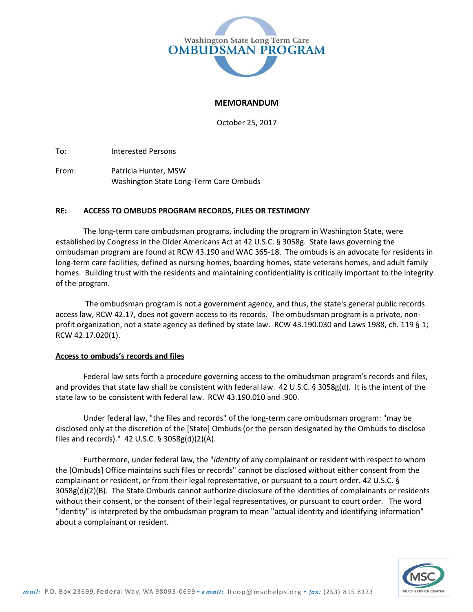

## **MEMORANDUM**

October 25, 2017

To: Interested Persons

From: Patricia Hunter, MSW Washington State Long-Term Care Ombuds

## **RE: ACCESS TO OMBUDS PROGRAM RECORDS, FILES OR TESTIMONY**

The long-term care ombudsman programs, including the program in Washington State, were established by Congress in the Older Americans Act at 42 U.S.C. § 3058g. State laws governing the ombudsman program are found at RCW 43.190 and WAC 365-18. The ombuds is an advocate for residents in long-term care facilities, defined as nursing homes, boarding homes, state veterans homes, and adult family homes. Building trust with the residents and maintaining confidentiality is critically important to the integrity of the program.

The ombudsman program is not a government agency, and thus, the state's general public records access law, RCW 42.17, does not govern access to its records. The ombudsman program is a private, nonprofit organization, not a state agency as defined by state law. RCW 43.190.030 and Laws 1988, ch. 119 § 1; RCW 42.17.020(1).

## **Access to ombuds's records and files**

Federal law sets forth a procedure governing access to the ombudsman program's records and files, and provides that state law shall be consistent with federal law. 42 U.S.C. § 3058g(d). It is the intent of the state law to be consistent with federal law. RCW 43.190.010 and .900.

Under federal law, "the files and records" of the long-term care ombudsman program: "may be disclosed only at the discretion of the [State] Ombuds (or the person designated by the Ombuds to disclose files and records)." 42 U.S.C. § 3058g(d)(2)(A).

Furthermore, under federal law, the "*identity* of any complainant or resident with respect to whom the [Ombuds] Office maintains such files or records" cannot be disclosed without either consent from the complainant or resident, or from their legal representative, or pursuant to a court order. 42 U.S.C. § 3058g(d)(2)(B). The State Ombuds cannot authorize disclosure of the identities of complainants or residents without their consent, or the consent of their legal representatives, or pursuant to court order. The word "identity" is interpreted by the ombudsman program to mean "actual identity and identifying information" about a complainant or resident.

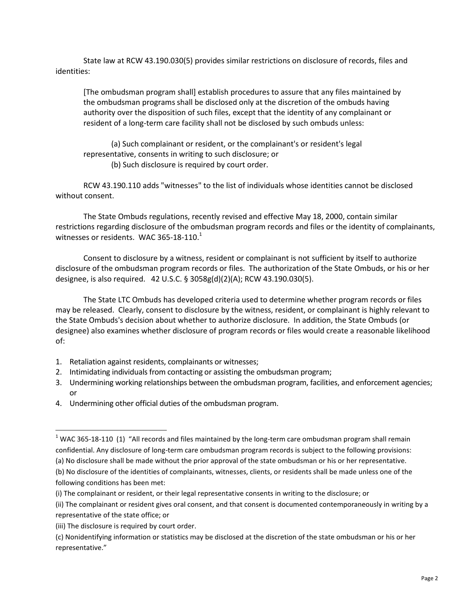State law at RCW 43.190.030(5) provides similar restrictions on disclosure of records, files and identities:

[The ombudsman program shall] establish procedures to assure that any files maintained by the ombudsman programs shall be disclosed only at the discretion of the ombuds having authority over the disposition of such files, except that the identity of any complainant or resident of a long-term care facility shall not be disclosed by such ombuds unless:

(a) Such complainant or resident, or the complainant's or resident's legal representative, consents in writing to such disclosure; or (b) Such disclosure is required by court order.

RCW 43.190.110 adds "witnesses" to the list of individuals whose identities cannot be disclosed without consent.

The State Ombuds regulations, recently revised and effective May 18, 2000, contain similar restrictions regarding disclosure of the ombudsman program records and files or the identity of complainants, witnesses or residents. WAC 365-18-110. $1$ 

Consent to disclosure by a witness, resident or complainant is not sufficient by itself to authorize disclosure of the ombudsman program records or files. The authorization of the State Ombuds, or his or her designee, is also required. 42 U.S.C. § 3058g(d)(2)(A); RCW 43.190.030(5).

The State LTC Ombuds has developed criteria used to determine whether program records or files may be released. Clearly, consent to disclosure by the witness, resident, or complainant is highly relevant to the State Ombuds's decision about whether to authorize disclosure. In addition, the State Ombuds (or designee) also examines whether disclosure of program records or files would create a reasonable likelihood of:

- 1. Retaliation against residents, complainants or witnesses;
- 2. Intimidating individuals from contacting or assisting the ombudsman program;
- 3. Undermining working relationships between the ombudsman program, facilities, and enforcement agencies; or
- 4. Undermining other official duties of the ombudsman program.

 $\overline{a}$ 

 $1$  WAC 365-18-110 (1) "All records and files maintained by the long-term care ombudsman program shall remain confidential. Any disclosure of long-term care ombudsman program records is subject to the following provisions:

<sup>(</sup>a) No disclosure shall be made without the prior approval of the state ombudsman or his or her representative.

<sup>(</sup>b) No disclosure of the identities of complainants, witnesses, clients, or residents shall be made unless one of the following conditions has been met:

<sup>(</sup>i) The complainant or resident, or their legal representative consents in writing to the disclosure; or

<sup>(</sup>ii) The complainant or resident gives oral consent, and that consent is documented contemporaneously in writing by a representative of the state office; or

<sup>(</sup>iii) The disclosure is required by court order.

<sup>(</sup>c) Nonidentifying information or statistics may be disclosed at the discretion of the state ombudsman or his or her representative."